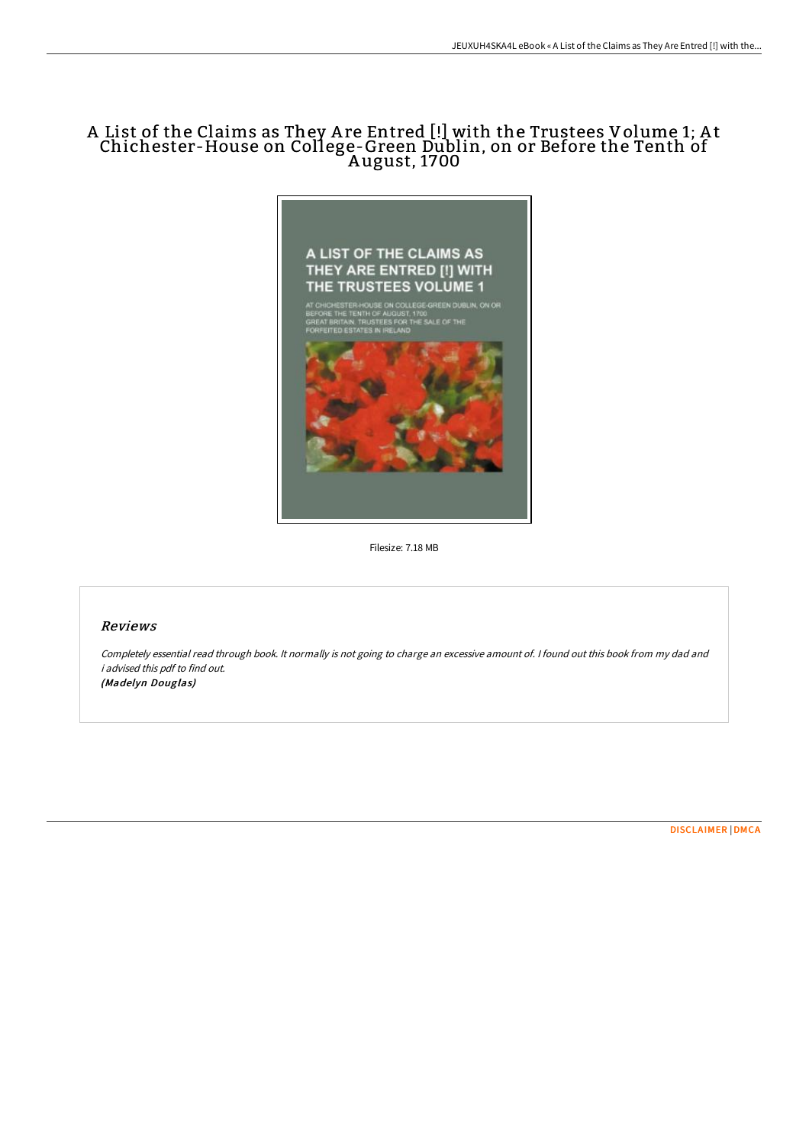## A List of the Claims as They A re Entred [!] with the Trustees Volume 1; A t Chichester-House on College-Green Dublin, on or Before the Tenth of A ugust, 1700



Filesize: 7.18 MB

## Reviews

Completely essential read through book. It normally is not going to charge an excessive amount of. <sup>I</sup> found out this book from my dad and i advised this pdf to find out. (Madelyn Douglas)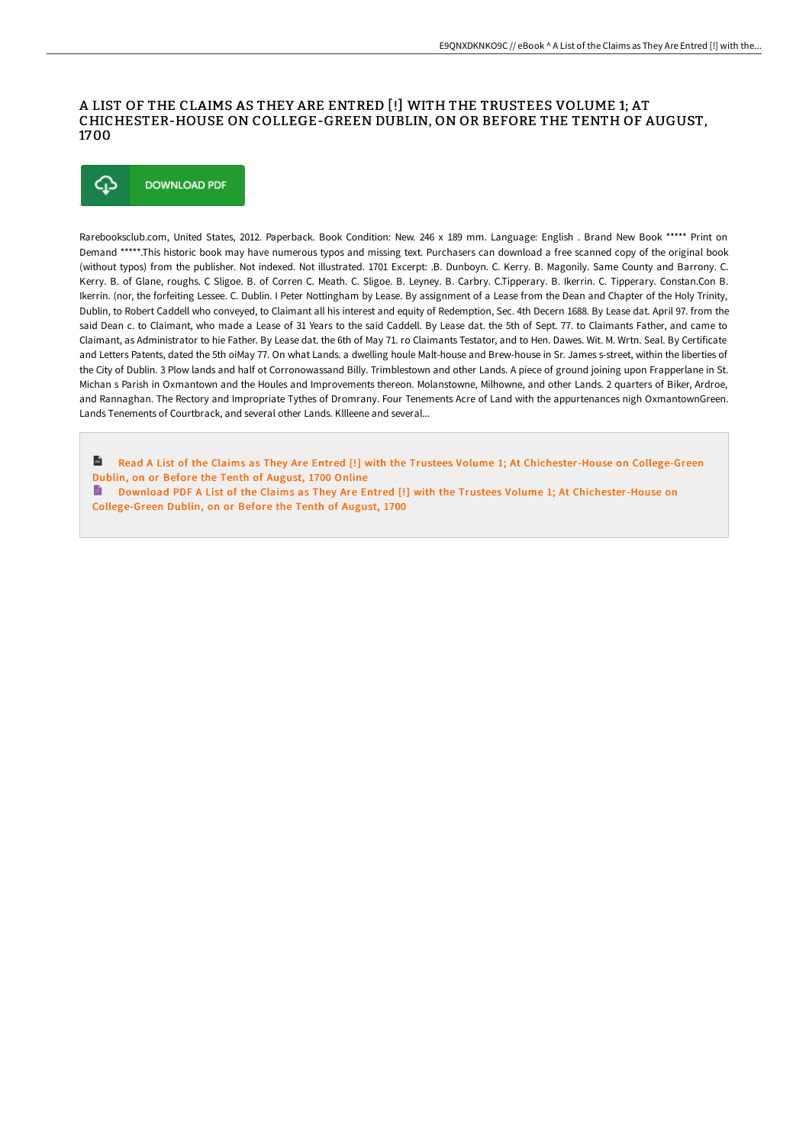## A LIST OF THE CLAIMS AS THEY ARE ENTRED [!] WITH THE TRUSTEES VOLUME 1; AT CHICHESTER-HOUSE ON COLLEGE-GREEN DUBLIN, ON OR BEFORE THE TENTH OF AUGUST, 1700



Rarebooksclub.com, United States, 2012. Paperback. Book Condition: New. 246 x 189 mm. Language: English . Brand New Book \*\*\*\*\* Print on Demand \*\*\*\*\*.This historic book may have numerous typos and missing text. Purchasers can download a free scanned copy of the original book (without typos) from the publisher. Not indexed. Not illustrated. 1701 Excerpt: .B. Dunboyn. C. Kerry. B. Magonily. Same County and Barrony. C. Kerry. B. of Glane, roughs. C Sligoe. B. of Corren C. Meath. C. Sligoe. B. Leyney. B. Carbry. C.Tipperary. B. Ikerrin. C. Tipperary. Constan.Con B. Ikerrin. (nor, the forfeiting Lessee. C. Dublin. I Peter Nottingham by Lease. By assignment of a Lease from the Dean and Chapter of the Holy Trinity, Dublin, to Robert Caddell who conveyed, to Claimant all his interest and equity of Redemption, Sec. 4th Decern 1688. By Lease dat. April 97. from the said Dean c. to Claimant, who made a Lease of 31 Years to the said Caddell. By Lease dat. the 5th of Sept. 77. to Claimants Father, and came to Claimant, as Administrator to hie Father. By Lease dat. the 6th of May 71. ro Claimants Testator, and to Hen. Dawes. Wit. M. Wrtn. Seal. By Certificate and Letters Patents, dated the 5th oiMay 77. On what Lands. a dwelling houle Malt-house and Brew-house in Sr. James s-street, within the liberties of the City of Dublin. 3 Plow lands and half ot Corronowassand Billy. Trimblestown and other Lands. A piece of ground joining upon Frapperlane in St. Michan s Parish in Oxmantown and the Houles and Improvements thereon. Molanstowne, Milhowne, and other Lands. 2 quarters of Biker, Ardroe, and Rannaghan. The Rectory and Impropriate Tythes of Dromrany. Four Tenements Acre of Land with the appurtenances nigh OxmantownGreen. Lands Tenements of Courtbrack, and several other Lands. Kllleene and several...

 $\mathbf{r}$ Read A List of the Claims as They Are Entred [!] with the Trustees Volume 1; At [Chichester-House](http://www.bookdirs.com/a-list-of-the-claims-as-they-are-entred-with-the.html) on College-Green Dublin, on or Before the Tenth of August, 1700 Online

Download PDF A List of the Claims as They Are Entred [!] with the Trustees Volume 1; At [Chichester-House](http://www.bookdirs.com/a-list-of-the-claims-as-they-are-entred-with-the.html) on College-Green Dublin, on or Before the Tenth of August, 1700